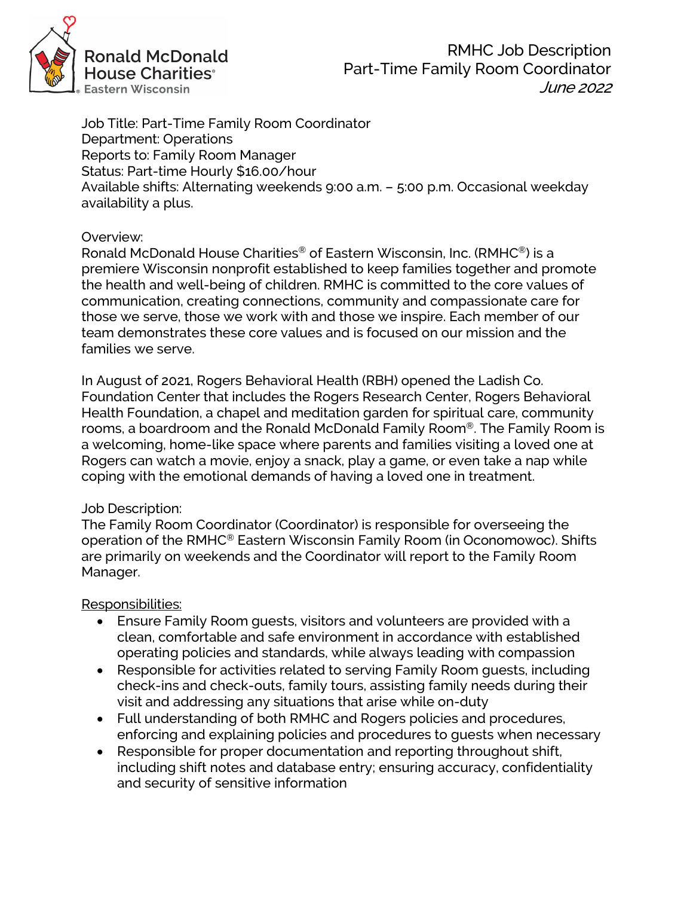

RMHC Job Description Part-Time Family Room Coordinator June 2022

Job Title: Part-Time Family Room Coordinator Department: Operations Reports to: Family Room Manager Status: Part-time Hourly \$16.00/hour Available shifts: Alternating weekends 9:00 a.m. – 5:00 p.m. Occasional weekday availability a plus.

## Overview:

Ronald McDonald House Charities® of Eastern Wisconsin, Inc. (RMHC®) is a premiere Wisconsin nonprofit established to keep families together and promote the health and well-being of children. RMHC is committed to the core values of communication, creating connections, community and compassionate care for those we serve, those we work with and those we inspire. Each member of our team demonstrates these core values and is focused on our mission and the families we serve.

In August of 2021, Rogers Behavioral Health (RBH) opened the Ladish Co. Foundation Center that includes the Rogers Research Center, Rogers Behavioral Health Foundation, a chapel and meditation garden for spiritual care, community rooms, a boardroom and the Ronald McDonald Family Room®. The Family Room is a welcoming, home-like space where parents and families visiting a loved one at Rogers can watch a movie, enjoy a snack, play a game, or even take a nap while coping with the emotional demands of having a loved one in treatment.

## Job Description:

The Family Room Coordinator (Coordinator) is responsible for overseeing the operation of the RMHC® Eastern Wisconsin Family Room (in Oconomowoc). Shifts are primarily on weekends and the Coordinator will report to the Family Room Manager.

Responsibilities:

- Ensure Family Room guests, visitors and volunteers are provided with a clean, comfortable and safe environment in accordance with established operating policies and standards, while always leading with compassion
- Responsible for activities related to serving Family Room guests, including check-ins and check-outs, family tours, assisting family needs during their visit and addressing any situations that arise while on-duty
- Full understanding of both RMHC and Rogers policies and procedures, enforcing and explaining policies and procedures to guests when necessary
- Responsible for proper documentation and reporting throughout shift, including shift notes and database entry; ensuring accuracy, confidentiality and security of sensitive information